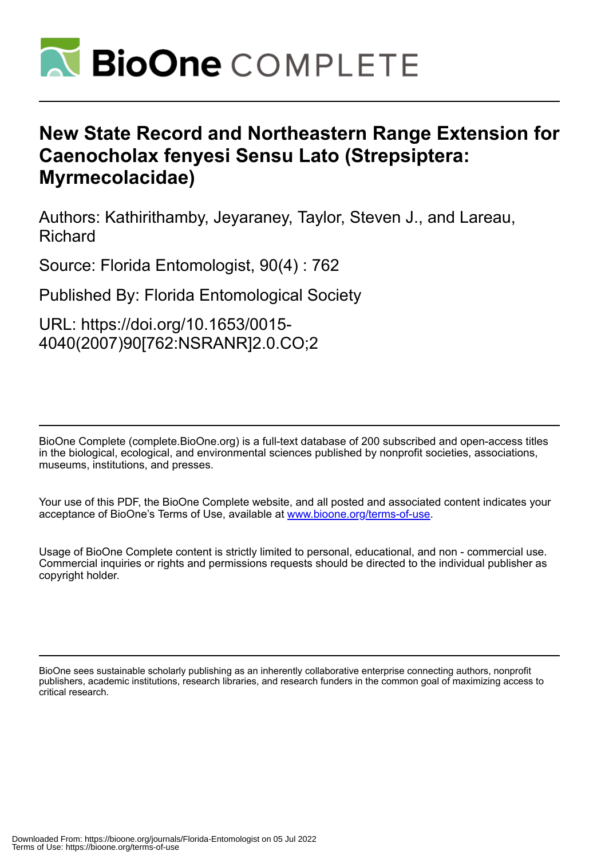

## **New State Record and Northeastern Range Extension for Caenocholax fenyesi Sensu Lato (Strepsiptera: Myrmecolacidae)**

Authors: Kathirithamby, Jeyaraney, Taylor, Steven J., and Lareau, Richard

Source: Florida Entomologist, 90(4) : 762

Published By: Florida Entomological Society

URL: https://doi.org/10.1653/0015- 4040(2007)90[762:NSRANR]2.0.CO;2

BioOne Complete (complete.BioOne.org) is a full-text database of 200 subscribed and open-access titles in the biological, ecological, and environmental sciences published by nonprofit societies, associations, museums, institutions, and presses.

Your use of this PDF, the BioOne Complete website, and all posted and associated content indicates your acceptance of BioOne's Terms of Use, available at www.bioone.org/terms-of-use.

Usage of BioOne Complete content is strictly limited to personal, educational, and non - commercial use. Commercial inquiries or rights and permissions requests should be directed to the individual publisher as copyright holder.

BioOne sees sustainable scholarly publishing as an inherently collaborative enterprise connecting authors, nonprofit publishers, academic institutions, research libraries, and research funders in the common goal of maximizing access to critical research.